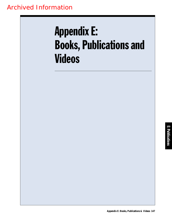# Appendix E: Books, Publications and Videos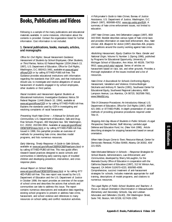# Books, Publications and Videos

Following is a sample of the many publications and educational materials available. In some instances, information about the contents is provided. Contact the organization listed for further information. Cost information is not included.

## **1. General publications, books, manuals, articles, and monographs**

Office for Civil Rights; Sexual Harassment Guidance; Harassment of Students by School Employees, Other Students, or Third Parties; Notice, 62 Federal Register 12034 (March 13, 1997), U.S. Department of Education, Office for Civil Rights, Washington, D.C. 800/421-3481, available at www.ed.gov/ offices/OCR or by calling 877/4ED-PUBS toll-free. The Guidance provides educational institutions with information regarding the standards that OCR uses, and that institutions should use, to investigate and resolve allegations of sexual harassment of students engaged in by school employees, other students or third parties.

Racial Incidents and Harassment Against Students at Educational Institutions; Investigative Guidance; Notice, 59 Federal Register 11448 (March 10, 1994), available at www.ed.gov/offices/OCR or by calling 877/4ED-PUBS toll-free. Explains the standards used by OCR in investigating and resolving complaints of racial harassment.

Preventing Youth Hate Crime — A Manual for Schools and Communities, U.S. Department of Education, Safe and Drug-Free Schools Program, 400 Maryland Ave. SW, Washington, D.C. 20202, 202/260-3954. Available at www.ed.gov/offices/ OESE/SDFS/news.html or by calling 877/4ED-PUBS toll-free. Issued in 1998, this pamphlet provides an overview of methods for preventing hate crime, describes model programs, and lists numerous resources.

Early Warning, Timely Response: A Guide to Safe Schools, available at www.ed.gov/offices/OSERS/OSEP/earlywrn.html or by calling 877/4ED-PUBS toll-free. This new guide offers research based practices designed to assist schools and communities in identifying early warning signs of troubled children and developing prevention, intervention, and crisis response plans.

#### Annual Report on School Safety

www.ed.gov/offices/OESE/SDFS/news.html or by calling 877/ 4ED-PUBS toll-free. This new report was issued by the U.S. Department of Education and the U.S. Department of Justice in October 1998; the report provides an overview of the scope of school crime and describes the actions that schools and communities can take to address this issue. The report contains numerous descriptions and evaluative data regarding existing school programs to prevent or address hate crime, harassment, and school violence and references to many resources on school safety and conflict resolution activities.

A Policymaker's Guide to Hate Crimes, Bureau of Justice Assistance, U.S. Department of Justice, Washington, D.C. (March 1997), 800/688-4252, www.ojp.usdoj.gov/BJA. A summary of hate crime enforcement issues, not limited to education.

1997 Hate Crimes Laws, Anti-Defamation League (1997), 800/ 343-5540. Booklet describes various types of hate crime laws and provides information on state level enforcement. Also, Hate Crimes: ADL Blueprint for Action (1997) describes ADL projects and coalitions around the country working against hate crime.

Abolishing Harassment, Equity Coalition for Race, Gender and National Origin, Volume IV, Number 1 (Spring 1996), published by Programs for Educational Opportunity, University of Michigan School of Education, Ann Arbor, MI 48109, 734/763- 9910, www.umich.edu/~eqtynet. Series of articles on harassment based on race, sex, and other grounds. Provides a thorough explanation of the issues involved and a list of resources.

Hate Crime: A Sourcebook for Schools Confronting Bigotry, Harassment, Vandalism and Violence, Cristina Bodinger-DeUriarte and Anthony R. Sancho (1991), Southwest Center for Educational Equity, Southwest Regional Laboratory, 4665 Lampson Avenue, Los Alamitos, CA 90720, 562/598-7661, www.WestEd.org.

Title IX Grievance Procedures: An Introductory Manual, U.S. Department of Education, Office for Civil Rights (1987), 800/ 421-3481 or 877/4ED-PUBS. In-depth presentation of various methods of providing grievance procedures required under Title IX.

Stopping Anti-Gay Abuse of Students in Public Schools: A Legal Perspective, David Buckel, Staff Attorney, Lambda Legal Defense and Education Fund, Inc. (New York 1996). Article describing strategies for stopping harassment based on sexual orientation.

When Hate Groups Come to Town, Resource Manual, Center for Democratic Renewal, P.O.Box 50469, Atlanta, GA 30302, 404/ 221-0025.

Hate-Motivated Behavior in Schools -- Response Strategies for School Boards, Administrators, Law Enforcement, and Communities, developed by Sherry McLaughlin, for the Alameda County Office of Education in cooperation with the California Department of Education (1997), 313 W. Winton Ave., Hayward, CA 94544 510/670-4220, 800/995-4099. Comprehensive, succinct treatment of anti-harassment strategies for schools. Includes materials appropriate for staff training, descriptions of model programs, and citations to numerous resources.

The Legal Rights of Public School Students and Teachers: A Focus on Sexual Orientation Discrimination in Massachusetts Elementary and Secondary Schools, Gay and Lesbian Advocates and Defenders (GLAD), 294 Washington Street, Suite 740, Boston, MA 02108, 617/426-1350.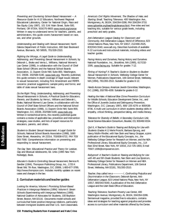Preventing and Countering School-Based Harassment -- A Resource Guide for K-12 Educators, Northwest Regional Educational Laboratory, Center for National Origin, Race and Sex Equity (July 1997), 101 S.W. Main Street, Suite 500, Portland, OR 97204, 503/275-9603 www.nwrel.org/cnorse. Written in easy-to-understand terms for teachers, parents, and administrators, this guide covers harassment based on race, sex, and other grounds.

Understanding and Dealing with Sexual Harassment, North Dakota Department of Public Instruction, 600 East Boulevard Avenue, Bismarck, ND 58505, 701/328-2310.

Righting the Wrongs, A Legal Guide to Understanding, Addressing, and Preventing Sexual Harassment in Schools, by Deborah L. Brake and Verna L. Williams, National Women's Law Center (1998), in collaboration with the Council of Chief State School Officers and the National School Boards Association, 11 Dupont Circle NW, Suite 800, Washington, D.C. 20036. 202/588-5180, www.nwlc.org. Recently published, this guide contains in-depth coverage of legal issues relevant to sexual harassment, including First Amendment and FERPA concerns; practical suggestions; sample policy and forms; and table of state sexual harassment laws.

Do the Right Thing, Understanding, Addressing, and Preventing Sexual Harassment in Schools, A Practical Guide for Educators, Parents, and Students, by Verna L. Williams and Deborah L. Brake, National Women's Law Center, in collaboration with the Council of Chief State School Officers and the National School Boards Association (1998), 11 Dupont Circle NW, Suite 800, Washington, D.C. 20036, 202/588-5180, www.nwlc.org. Written in nontechnical terms, this recently published guide contains a review of applicable law, prevention and intervention strategies, case studies, and lists of expert resources for educators, parents, and others.

Student-to-Student Sexual Harassment: A Legal Guide for Schools, National School Boards Association (1998), 1680 Duke Street, Alexandria, VA 22314, 703/838-6722, FAX 703/ 683-7590. Comprehensive information on preventing and responding to sexual harassment.

The Gay Teen: Educational Practice and Theory for Lesbian, Gay and Bisexual Adolescents, Ed. Unks (1995 New York: Rutledge). Book.

Educator's Guide to Controlling Sexual Harassment, Bernice R. Sandler (1994), Thompson Publishing Group, Inc., 1725 K Street NW, 7th floor, Washington, D.C. 20006, 1-800-677-3789, http://www.thompson.com. Includes monthly updates on recent cases and changes in the law.

# **2. Curriculum materials and teacher guides**

Looking for America, Volume I: Promising School-Based Practices in Intergroup Relations (1994); Volume II: Seven Schools Experimenting with Intergroup Relations (1995), National Coalition of Advocates for Students, 100 Boylston Street, Boston, MA 02116. Documents model schools and curricula that foster positive intergroup relations, particularly between immigrant students and their U.S.- born classmates.

America's Civil Rights Movement, The Shadow of Hate, and Starting Small, Teaching Tolerance, 400 Washington Ave., Montgomery, AL 36104, 334/264-0286, FAX 334/264-3710. www.splcenter.org/teachingtolerance.html. Free video and text teaching kits, suitable for various grade levels, including preschool and early grades.

Anti-Defamation League Catalog for Classroom and Community, Anti-Defamation League, World of Difference, 823 United Nations Plaza, New York, NY 10017, 212/490-2525, 8OO/343-5540, www.adl.org. Describes hundreds of available K-12 curricula and instructional materials, including videos and teacher guides.

Facing History and Ourselves, Facing History and Ourselves National Foundation, Inc., Brookline, MA (1995), 617/232- 1595, www.facing.org. Suitable for grades 7-12.

Flirting of Hurting? A Teacher's Guide to Student-to-Student Sexual Harassment in Schools, Wellesley College Center for Women, Publications Department, 106 Central Street, Wellesley, MA (1994), 781/283-2510. Suitable for grades 6-12.

Hands Across Campus, American Jewish Committee, Washington, D.C. (1996), 202/785-4200. Suitable for grades 6-12.

Healing the Hate: A National Bias Crime Prevention Curriculum for Middle Schools, Education Development Center, Inc., and the Office of Juvenile Justice and Delinquency Prevention, Washington, D.C. (January 1997), 800/ 225-4276 or 800/638- 8736. A multi-unit curriculum in which students develop skills in empathy, critical thinking, perspective taking, and media literacy.

Tolerance for Diversity of Beliefs: A Secondary Curriculum Unit, Social Science Education Consortium, Boulder, CO, 303/492-8154.

Quit It, A Teacher's Guide to Teasing and Bullying for Use with Students Grades K-3, Merle Froschl, Barbara Sprung, and Nancy Mullin-Rindler, with Nan Stein and Nancy Gropper, a joint publication of the Educational Equity Concepts, Inc., the Wellesley College Center for Research on Women, and the NEA Professional Library. Educational Equity Concepts, Inc., 114 East 32nd Street, New York, NY 10016, 212-725-1803, E-mail 75507.1306@compuserve.com.

Bullyproof: A Teacher's Guide on Teasing and Bullying for Use with 4th and 5th Grade Students, Nan Stein and Lisa Sjostrom, Wellesley College Center for Research on Women and NEA Professional Library, Publications Department, 106 Central Street, Wellesley, MA 02181, 781/283-2510.

Teacher, they called me a ————!, Confronting Prejudice and Discrimination in the Classroom, Deborah Byrnes, Anti-Defamation League, 823 United Nations Plaza, New York, NY 10017, 800/343-5540. A publication of the Anti-Defamation League and the Utah State Office of Education.

Teaching Tolerance, Southern Poverty Law Center, 400 Washington Avenue, Montgomery, AL 36104, 334/264-0286. Semiannual magazine, provided free to educators, contains ideas and strategies for teaching against prejudice and provides access to curriculum and other materials offered by the Center.